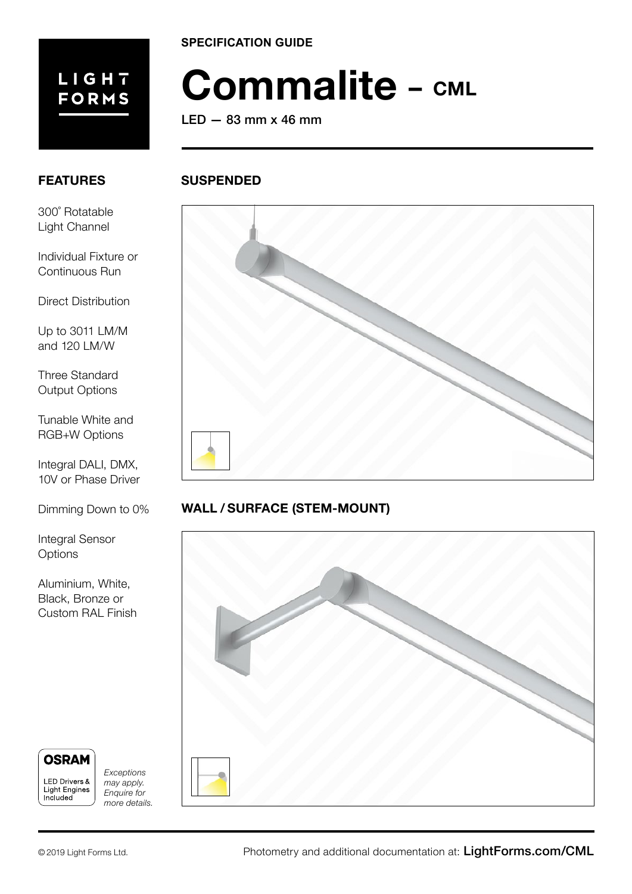

**SPECIFICATION GUIDE**

# **Commalite – CML**

LED — 83 mm x 46 mm

**SUSPENDED**

# **FEATURES**

300˚ Rotatable Light Channel

Individual Fixture or Continuous Run

Direct Distribution

Up to 3011 LM/M and 120 LM/W

Three Standard Output Options

Tunable White and RGB+W Options

Integral DALI, DMX, 10V or Phase Driver

Dimming Down to 0%

Integral Sensor **Options** 

Aluminium, White, Black, Bronze or Custom RAL Finish



Included

*Exceptions may apply.*  Light Engines *Enquire for* 

*more details.*



# **WALL / SURFACE (STEM-MOUNT)**

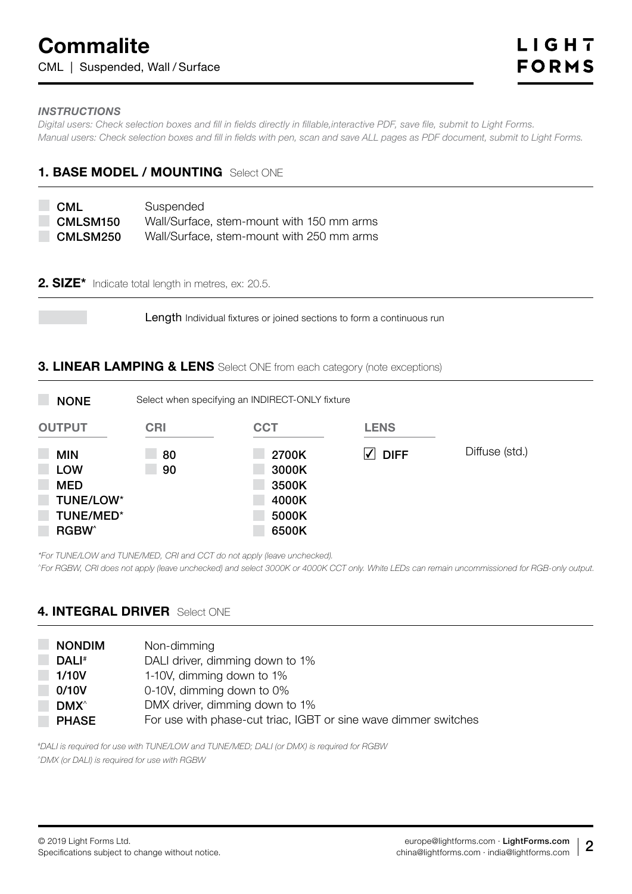#### *INSTRUCTIONS*

*Digital users: Check selection boxes and fill in fields directly in fillable,interactive PDF, save file, submit to Light Forms. Manual users: Check selection boxes and fill in fields with pen, scan and save ALL pages as PDF document, submit to Light Forms.*

# **1. BASE MODEL / MOUNTING** Select ONE

| <b>CML</b> | Suspended                                 |
|------------|-------------------------------------------|
| CMLSM150   | Wall/Surface, stem-mount with 150 mm arms |
| CMLSM250   | Wall/Surface, stem-mount with 250 mm arms |

#### **2. SIZE\*** Indicate total length in metres, ex: 20.5.

Length Individual fixtures or joined sections to form a continuous run

#### **3. LINEAR LAMPING & LENS** Select ONE from each category (note exceptions)

| <b>NONE</b>                                                                                   | Select when specifying an INDIRECT-ONLY fixture |                                                    |             |                |  |
|-----------------------------------------------------------------------------------------------|-------------------------------------------------|----------------------------------------------------|-------------|----------------|--|
| <b>OUTPUT</b>                                                                                 | <b>CRI</b>                                      | <b>CCT</b>                                         | <b>LENS</b> |                |  |
| <b>MIN</b><br><b>LOW</b><br><b>MED</b><br><b>TUNE/LOW*</b><br><b>TUNE/MED*</b><br><b>RGBW</b> | 80<br>90                                        | 2700K<br>3000K<br>3500K<br>4000K<br>5000K<br>6500K | <b>DIFF</b> | Diffuse (std.) |  |

*\*For TUNE/LOW and TUNE/MED, CRI and CCT do not apply (leave unchecked).*

*^For RGBW, CRI does not apply (leave unchecked) and select 3000K or 4000K CCT only. White LEDs can remain uncommissioned for RGB-only output.*

## **4. INTEGRAL DRIVER** Select ONE

| <b>NONDIM</b>           | Non-dimming                                                     |
|-------------------------|-----------------------------------------------------------------|
| DALI#                   | DALI driver, dimming down to 1%                                 |
| 1/10V                   | 1-10V, dimming down to 1%                                       |
| 0/10V                   | 0-10V, dimming down to 0%                                       |
| <b>DMX</b> <sup>^</sup> | DMX driver, dimming down to 1%                                  |
| <b>PHASE</b>            | For use with phase-cut triac, IGBT or sine wave dimmer switches |

*#DALI is required for use with TUNE/LOW and TUNE/MED; DALI (or DMX) is required for RGBW ^DMX (or DALI) is required for use with RGBW*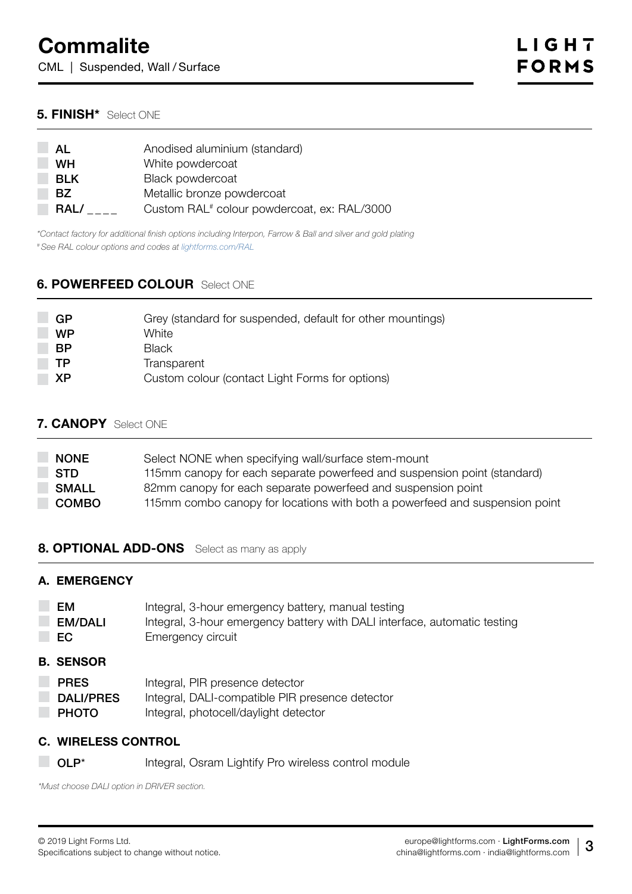CML | Suspended, Wall / Surface

## **5. FINISH\*** Select ONE

| AL<br>WН   | Anodised aluminium (standard)<br>White powdercoat       |
|------------|---------------------------------------------------------|
| <b>BLK</b> | <b>Black powdercoat</b>                                 |
| BZ.        | Metallic bronze powdercoat                              |
| RAL/       | Custom RAL <sup>#</sup> colour powdercoat, ex: RAL/3000 |

*\*Contact factory for additional finish options including Interpon, Farrow & Ball and silver and gold plating # See RAL colour options and codes at [lightforms.com/RAL](https://lightforms.com/RAL)*

#### **6. POWERFEED COLOUR** Select ONE

| GP        | Grey (standard for suspended, default for other mountings) |
|-----------|------------------------------------------------------------|
| <b>WP</b> | White                                                      |
| <b>BP</b> | <b>Black</b>                                               |
| ТP        | Transparent                                                |
| ΧP        | Custom colour (contact Light Forms for options)            |
|           |                                                            |

#### **7. CANOPY** Select ONE

| <b>NONE</b>  | Select NONE when specifying wall/surface stem-mount                         |
|--------------|-----------------------------------------------------------------------------|
| <b>STD</b>   | 115mm canopy for each separate powerfeed and suspension point (standard)    |
| <b>SMALL</b> | 82mm canopy for each separate powerfeed and suspension point                |
| <b>COMBO</b> | 115mm combo canopy for locations with both a powerfeed and suspension point |

#### **8. OPTIONAL ADD-ONS** Select as many as apply

#### **A. EMERGENCY**

| EM             | Integral, 3-hour emergency battery, manual testing                        |
|----------------|---------------------------------------------------------------------------|
| <b>EM/DALI</b> | Integral, 3-hour emergency battery with DALI interface, automatic testing |
| EC.            | Emergency circuit                                                         |

#### **B. SENSOR**

- PRES Integral, PIR presence detector
- DALI/PRES Integral, DALI-compatible PIR presence detector
- **PHOTO** Integral, photocell/daylight detector

# **C. WIRELESS CONTROL**

**ID OLP**\* Integral, Osram Lightify Pro wireless control module

*\*Must choose DALI option in DRIVER section.*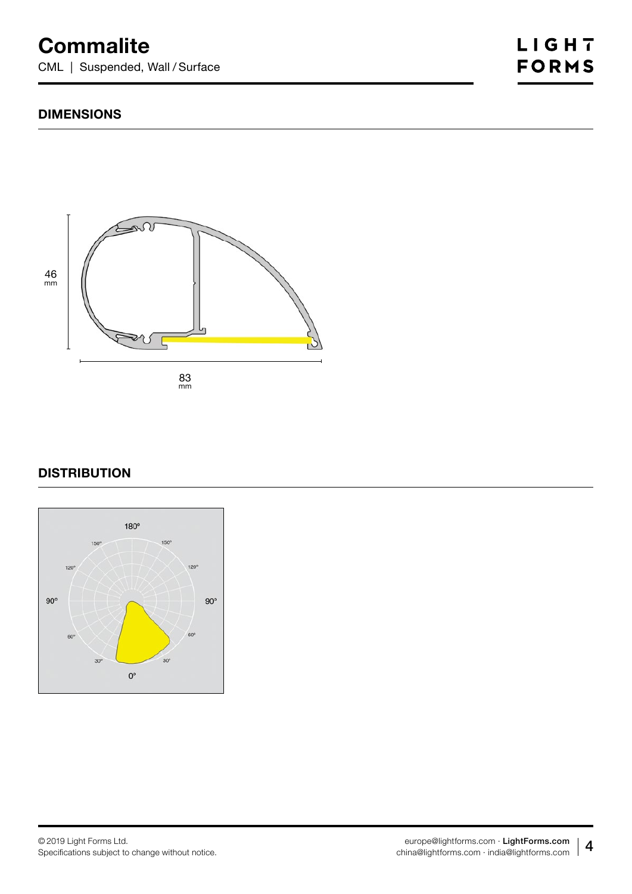# **Commalite**

CML | Suspended, Wall / Surface

## **DIMENSIONS**



# **DISTRIBUTION**

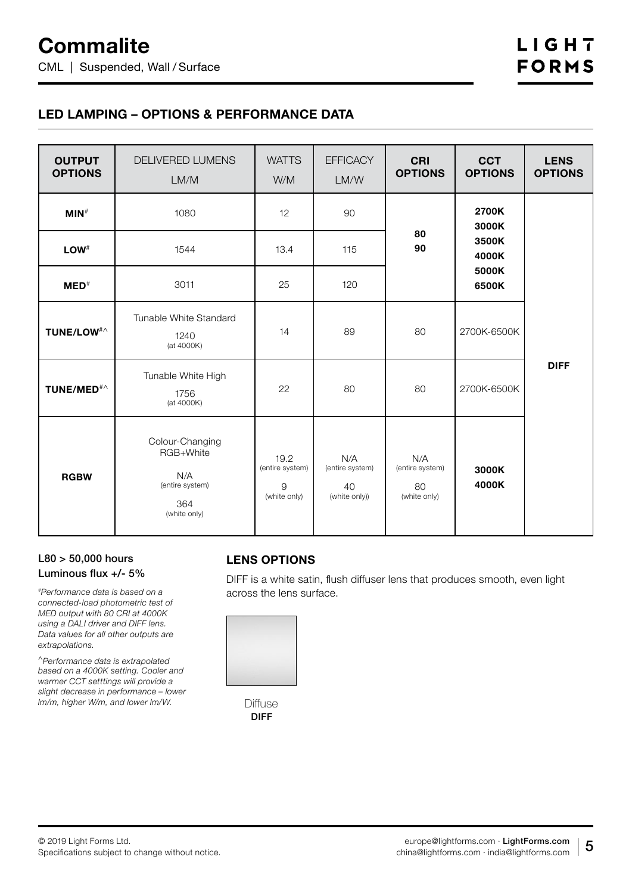# **LED LAMPING – OPTIONS & PERFORMANCE DATA**

| <b>OUTPUT</b><br><b>OPTIONS</b> | DELIVERED LUMENS<br>LM/M                                                      | <b>WATTS</b><br>W/M                          | <b>EFFICACY</b><br>LM/W                       | <b>CRI</b><br><b>OPTIONS</b>                 | <b>CCT</b><br><b>OPTIONS</b>     | <b>LENS</b><br><b>OPTIONS</b> |
|---------------------------------|-------------------------------------------------------------------------------|----------------------------------------------|-----------------------------------------------|----------------------------------------------|----------------------------------|-------------------------------|
| $MIN$ <sup>#</sup>              | 1080                                                                          | 12                                           | 90                                            |                                              | 2700K<br>3000K                   |                               |
| $LOW^{\#}$                      | 1544                                                                          | 13.4                                         | 115                                           | 80<br>90                                     | 3500K<br>4000K<br>5000K<br>6500K |                               |
| $MED^*$                         | 3011                                                                          | 25                                           | 120                                           |                                              |                                  |                               |
| TUNE/LOW <sup>#</sup>           | Tunable White Standard<br>1240<br>(at 4000K)                                  | 14                                           | 89                                            | 80                                           | 2700K-6500K                      |                               |
| TUNE/MED <sup>#</sup> ^         | Tunable White High<br>1756<br>(at 4000K)                                      | 22                                           | 80                                            | 80                                           | 2700K-6500K                      | <b>DIFF</b>                   |
| <b>RGBW</b>                     | Colour-Changing<br>RGB+White<br>N/A<br>(entire system)<br>364<br>(white only) | 19.2<br>(entire system)<br>9<br>(white only) | N/A<br>(entire system)<br>40<br>(white only)) | N/A<br>(entire system)<br>80<br>(white only) | 3000K<br>4000K                   |                               |

#### L80 > 50,000 hours Luminous flux +/- 5%

*#Performance data is based on a connected-load photometric test of MED output with 80 CRI at 4000K using a DALI driver and DIFF lens. Data values for all other outputs are extrapolations.*

*^Performance data is extrapolated based on a 4000K setting. Cooler and warmer CCT setttings will provide a slight decrease in performance – lower lm/m, higher W/m, and lower lm/W.* 

# **LENS OPTIONS**

DIFF is a white satin, flush diffuser lens that produces smooth, even light across the lens surface.



Diffuse DIFF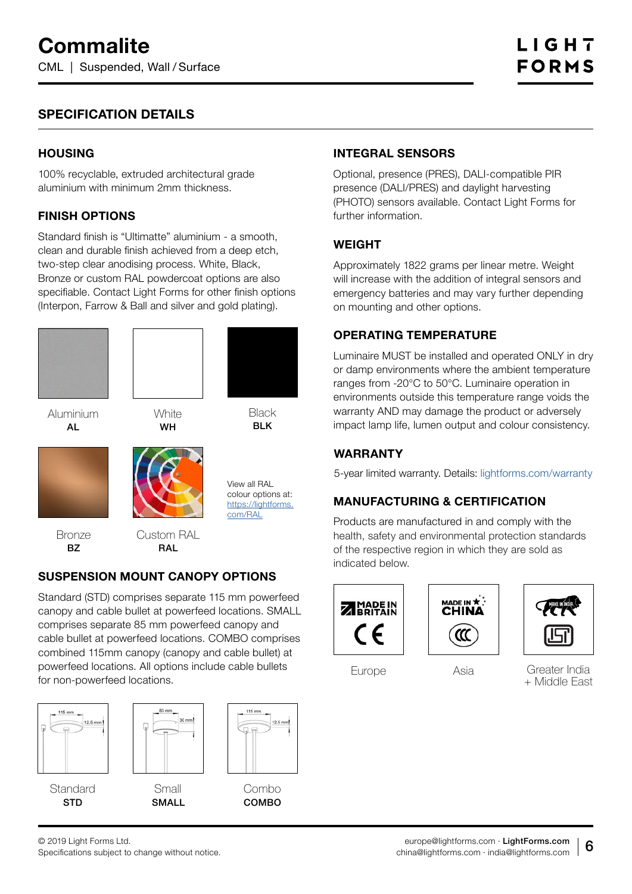# **SPECIFICATION DETAILS**

#### **HOUSING**

100% recyclable, extruded architectural grade aluminium with minimum 2mm thickness.

#### **FINISH OPTIONS**

Standard finish is "Ultimatte" aluminium - a smooth, clean and durable finish achieved from a deep etch, two-step clear anodising process. White, Black, Bronze or custom RAL powdercoat options are also specifiable. Contact Light Forms for other finish options (Interpon, Farrow & Ball and silver and gold plating).





**White** WH

Aluminium AL

**Black** BLK

View all RAL colour options at: [https://lightforms.](https://lightforms.com/RAL) [com/RAL](https://lightforms.com/RAL)



**Bronze** BZ

Custom RAL **RAL** 

# **SUSPENSION MOUNT CANOPY OPTIONS**

Standard (STD) comprises separate 115 mm powerfeed canopy and cable bullet at powerfeed locations. SMALL comprises separate 85 mm powerfeed canopy and cable bullet at powerfeed locations. COMBO comprises combined 115mm canopy (canopy and cable bullet) at powerfeed locations. All options include cable bullets for non-powerfeed locations.





Small SMALL



Combo COMBO

# **INTEGRAL SENSORS**

Optional, presence (PRES), DALI-compatible PIR presence (DALI/PRES) and daylight harvesting (PHOTO) sensors available. Contact Light Forms for further information.

#### **WEIGHT**

Approximately 1822 grams per linear metre. Weight will increase with the addition of integral sensors and emergency batteries and may vary further depending on mounting and other options.

# **OPERATING TEMPERATURE**

Luminaire MUST be installed and operated ONLY in dry or damp environments where the ambient temperature ranges from -20°C to 50°C. Luminaire operation in environments outside this temperature range voids the warranty AND may damage the product or adversely impact lamp life, lumen output and colour consistency.

## **WARRANTY**

5-year limited warranty. Details: [lightforms.com/warranty](https://lightforms.com/warranty)

# **MANUFACTURING & CERTIFICATION**

Products are manufactured in and comply with the health, safety and environmental protection standards of the respective region in which they are sold as indicated below.







Europe Asia Greater India + Middle East